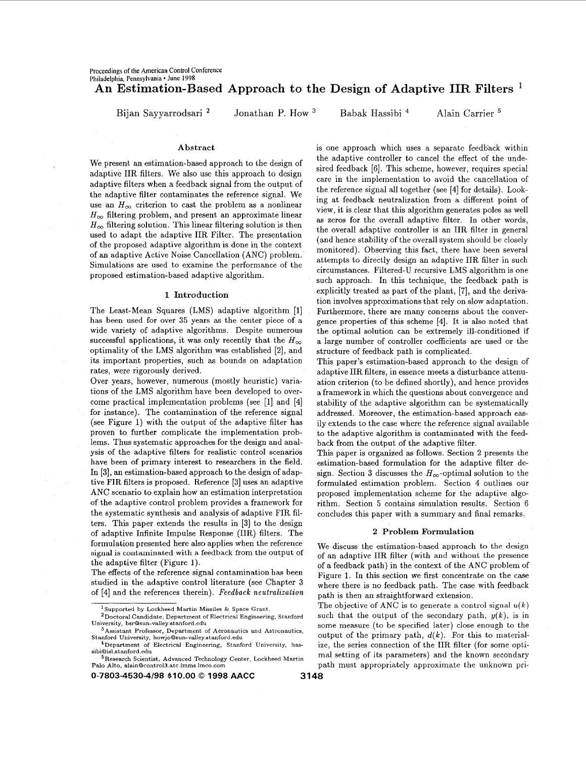# **An Estimation-Based Approach to the Design of Adaptive IIR Filters**

Bijan Sayyarrodsari <sup>2</sup> Jonathan P. How <sup>3</sup> Babak Hassibi <sup>4</sup> Alain Carrier <sup>5</sup>

We present an estimation-based approach to the design of adaptive IIR filters. We also use this approach to design adaptive filters when a feedback signal from the output of the adaptive filter contaminates the reference signal. We use an  $H_{\infty}$  criterion to cast the problem as a nonlinear  $H_{\infty}$  filtering problem, and present an approximate linear  $H_{\infty}$  filtering solution. This linear filtering solution is then used to adapt the adaptive IIR Filter. The presentation of the proposed adaptive algorithm is done in the context of an adaptive Active Noise Cancellation (ANC) problem. Simulations are used to examine the performance of the proposed estimation-based adaptive algorithm.

## **1 Introduction**

The Least-Mean Squares (LMS) adaptive algorithm **[I]**  has been used for Over **35** years as the center piece **of** a wide variety of adaptive algorithms. Despite numerous successful applications, it was only recently that the  $H_{\infty}$ optimality of the LMS algorithm was established **[a],** and its important properties, such as bounds on adaptation rates, were rigorously derived.

Over years, however, numerous (mostly heuristic) variations of the LMS algorithm have been developed to overcome practical implementation problems (see **[l]** and [4] for instance). The contamination of the reference signal (see Figure **1)** with the output of the adaptive filter has proven to further complicate the implementation problems. Thus systematic approaches for the design and analysis of the adaptive filters for realistic control scenarios have been of primary interest to researchers in the field. In **[3],** an estimation-based approach to the design of adaptive FIR filters is proposed. Reference **[3]** uses an adaptive ANC scenario to explain how an estimation interpretation of the adaptive control problem provides a framework for the systematic synthesis and analysis of adaptive FIR filters. This paper extends the results in **131** to the design of adaptive Infinite Impulse Response (IIR) filters. The formulation presented here also applies when the reference signal **is** contaminated with a feedback from the Output Of the adaptive filter (Figure **1).** 

The effects of the reference signal contamination has been studied in the adaptive control literature (see Chapter **3**  of [4] and the references therein). Feedback neutralization

**0-7803-4530-4/98 \$10.00** *0* **1998 AACC 3148** 

Abstract **is one approach which uses a separate feedback within** the adaptive controller to cancel the effect of the undesired feedback [6]. This scheme, however, requires special care in the implementation to avoid the cancellation of the reference signal all together (see [4] for details). Looking at feedback neutralization from a different point of view, it is clear that this algorithm generates poles as well as zeros for the overall adaptive filter. In other words, the overall adaptive controller is an IIR filter in general (and hence stability of the overall system should be closely monitored). Observing this fact, there have been several attempts to directly design an adaptive IIR filter in such circumstances. Filtered-U recursive LMS algorithm is one such approach. In this technique, the feedback path is explicitly treated as part of the plant, [7], and the derivation involves approximations that rely on slow adaptation. Furthermore, there are many concerns about the convergence properties of this scheme **[4].** It is also noted that the optimal solution can be extremely ill-conditioned if a large number of controller coefficients are used or the structure of feedback path is complicated.

> This paper's estimation-based approach to the design of adaptive IIR filters, in essence meets a disturbance attenuation criterion (to be defined shortly), and hence provides a framework in which the questions about convergence and stability of the adaptive algorithm can be systematically addressed. Moreover, the estimation-based approach easily extends to the case where the reference signal available to the adaptive algorithm is contaminated with the feedback from the output of the adaptive filter.

> This paper is organized as follows. Section **2** presents the estimation-based formulation for the adaptive filter design. Section 3 discusses the  $H_{\infty}$ -optimal solution to the formulated estimation problem. Section 4 outlines our proposed implementation scheme for the adaptive algorithm. Section *5* contains simulation results. Section 6 concludes this paper with a summary and final remarks.

## **2 Problem Formulation**

We discuss the estimation-based approach to the design of an adaptive IIR filter (with and without the presence of a feedback path) in the context of the ANC problem of Figure 1. In this section we first concentrate on the case where there is no feedback path. The case with feedback path is then an straightforward extension.

The objective of ANC is to generate a control signal  $u(k)$ such that the output of the secondary path,  $y(k)$ , is in some measure (to be specified later) close enough to the output of the primary path,  $d(k)$ . For this to materialize, the series connection of the IIR filter (for some optipath must appropriately approximate the unknown pri-**5Research Scientist, Advanced Technology Center, Lockheed Martin** Of its parameters) and the known secondary **Palo Alto, alainOcontrol3 atc** lmms **lmco com** 

**<sup>&#</sup>x27;Supported by Lockheed Martin Missiles** & **Space Grant** 

**<sup>&#</sup>x27;Doctoral Candidate, Department** *of* **Electrical Engineering, Stanford University, bsrOsun-valley stanford edu** 

**<sup>&#</sup>x27;Assistant Professor, Department of Aeronautics and Astronautics,**  Stanford University, howjo@sun-valley.stanford.edu **4Department of Electrical Engineering, Stanford University, has-**

**sibiOisl.stanford edu**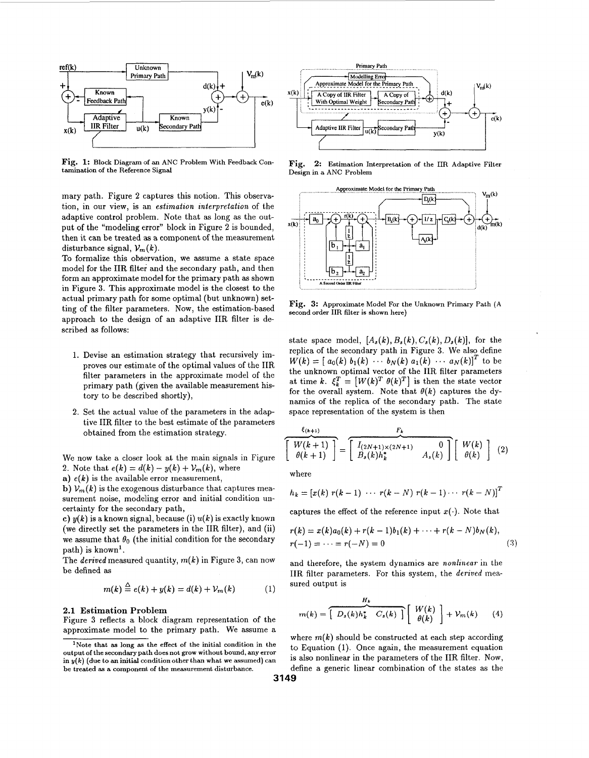

**Fig. 1:** Block Diagram of an ANC Problem With Feedback Contamination of the Reference Signal

mary path. Figure **2** captures this notion. This observation, in our view, is an *estimation interpretation* of the adaptive control problem. Note that **as** long as the outthen it can be treated **as** a component of the measurement disturbance signal,  $V_m(k)$ .

To formalize this observation, we assume a state space model for the IIR filter and the secondary path, and then form an approximate model for the primary path **as** shown in Figure 3. This approximate model is the closest to the **Account Order III A Second Order Tilts** actual primary path for some optimal (but unknown) setting of the filter parameters. Now, the estimation-based approach to the design of an adaptive **IIR** filter is described **as** follows:

- 1. Devise an estimation strategy that recursively improves our estimate of the optimal values of the **IIR**  filter parameters in the approximate model of the primary path (given the available measurement history to be described shortly),
- 2. Set the actual value of the parameters in the adaptive **IIR** filter to the best estimate of the parameters obtained from the estimation strategy.

We now take a closer look at the main signals in Figure 2. Note that  $e(k) = d(k) - y(k) + V_m(k)$ , where

**a)**  $e(k)$  is the available error measurement,

**b)**  $V_m(k)$  is the exogenous disturbance that captures measurement noise, modeling error and initial condition uncertainty for the secondary path,

*c)*  $y(k)$  is a known signal, because (i)  $u(k)$  is exactly known (we directly set the parameters in the IIR filter), and (ii) we assume that  $\theta_0$  (the initial condition for the secondary path) is known'.

The *derived* measured quantity,  $m(k)$  in Figure 3, can now be defined **as** 

$$
m(k) \stackrel{\Delta}{=} e(k) + y(k) = d(k) + V_m(k) \tag{1}
$$

## **2.1 Estimation Problem**

Figure 3 reflects a block diagram representation of the approximate model to the primary path. We assume a where  $m(k)$  should be constructed at each step according



Fig. 2: Estimation Interpretation of the IIR Adaptive Filter **Design in a ANC Problem** 



**Fig. 3: Approximate Model For the Unknown Primary Path (A second order** IIR **filter is shown** 

state space model,  $[A_s(k), B_s(k), C_s(k), D_s(k)]$ , for the replica of the secondary path in Figure **3.** We also define the unknown optimal vector of the **IIR** filter parameters at time *k*.  $\xi_k^T = [W(k)^T \theta(k)^T]$  is then the state vector for the overall system. Note that  $\theta(k)$  captures the dynamics of the replica of the secondary path. The state space representation of the system is then  $W(k) = [ a_0(k) b_1(k) \cdots b_N(k) a_1(k) \cdots a_N(k) ]^T$  to be Fig. 3: Approximate Model For the Unknown Pr<br>second order IIR filter is shown here)<br>state space model,  $[A_s(k), B_s(k), C_s(k), D_s$ <br>replica of the secondary path in Figure 3. W<br> $W(k) = [a_0(k) b_1(k) \cdots b_N(k) a_1(k) \cdots a$ <br>the unknown optimal ve

$$
\frac{\xi_{(k+1)}}{\theta(k+1)} = \frac{F_k}{\begin{bmatrix} I_{(2N+1)\times(2N+1)} & 0 \\ B_s(k)h_k^* & A_s(k) \end{bmatrix}} \begin{bmatrix} W(k) \\ \theta(k) \end{bmatrix} (2)
$$

where

$$
h_k = [x(k) r(k-1) \cdots r(k-N) r(k-1) \cdots r(k-N)]^T
$$

captures the effect of the reference input  $x(\cdot)$ . Note that

$$
r(k) = x(k)a_0(k) + r(k-1)b_1(k) + \cdots + r(k-N)b_N(k),
$$
  
\n
$$
r(-1) = \cdots = r(-N) = 0
$$
\n(3)

and therefore, the system dynamics are *nonlinear* in the **IIR** filter parameters. **For** this system, the *derived* measured output is

$$
m(k) = \left[ \overbrace{D_s(k)h_k^*}^{H_k} C_s(k) \right] \left[ \begin{array}{c} W(k) \\ \theta(k) \end{array} \right] + \mathcal{V}_m(k) \qquad (4)
$$

is also nonlinear in the parameters of the **IIR** filter. Now, define a generic linear combination of the states **as** the to Equation (1). Once again, the measurement equation

**<sup>&#</sup>x27;Note that as long as the effect of the initial condition in the**   $\int f(x)$  (due to an initial condition other than what we assumed) can **be treated as a componenl. of the measurement disturbance.**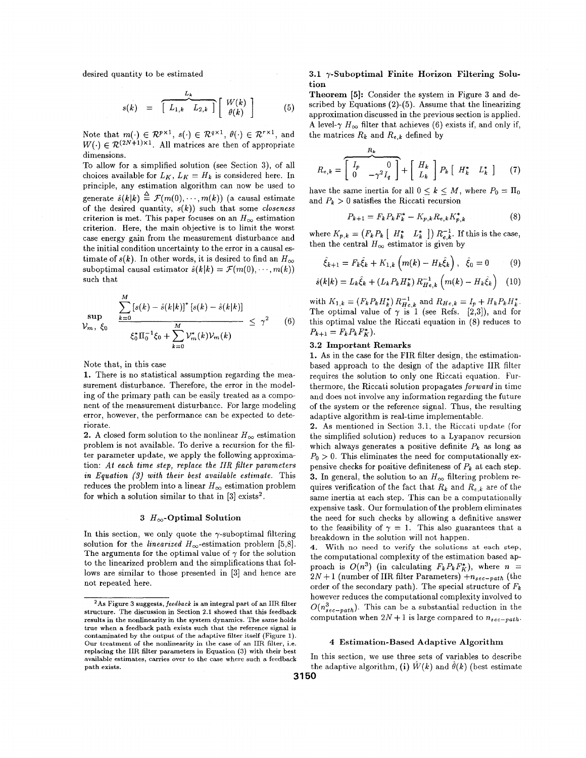desired quantity to be estimated

$$
s(k) = \left[ L_{1,k} L_{2,k} \right] \left[ W(k) \atop \theta(k) \right] \tag{5}
$$

Note that  $m(\cdot) \in \mathbb{R}^{p \times 1}$ ,  $s(\cdot) \in \mathbb{R}^{q \times 1}$ ,  $\theta(\cdot) \in \mathbb{R}^{r \times 1}$ , and  $W(\cdot) \in \mathcal{R}^{(2N+1)\times 1}$ . All matrices are then of appropriate dimensions.

To allow for a simplified solution (see Section **3),** of all choices available for  $L_K$ ,  $L_K = H_k$  is considered here. In principle, any estimation algorithm can now be used to generate  $\hat{s}(k|k) \stackrel{\Delta}{=} \mathcal{F}(m(0), \cdots, m(k))$  (a causal estimate of the desired quantity, *s(k))* such that some *closeness*  criterion is met. This paper focuses on an  $H_{\infty}$  estimation criterion. Here, the main objective is to limit the worst case energy gain from the measurement disturbance and the initial condition uncertainty to the error in a causal estimate of  $s(k)$ . In other words, it is desired to find an  $H_{\infty}$ suboptimal causal estimator  $\hat{s}(k|k) = \mathcal{F}(m(0), \dots, m(k))$ such that

$$
\sup_{\mathcal{V}_m, \xi_0} \frac{\sum_{k=0}^M [s(k) - \hat{s}(k|k)]^* [s(k) - \hat{s}(k|k)]}{\xi_0^* \Pi_0^{-1} \xi_0 + \sum_{k=0}^M \mathcal{V}_m^*(k) \mathcal{V}_m(k)} \leq \gamma^2 \qquad (6)
$$

Note that, in this case

**1.** There is no statistical assumption regarding the measurement disturbance. Therefore, the error in the modeling of the primary path can be easily treated as a component of the measurement disturbance. For large modeling error, however, the performance can be expected to deteriorate.

**2.** A closed form solution to the nonlinear  $H_{\infty}$  estimation problem is not available. To derive a recursion for the filter parameter update, we apply the following approximation: *At each time step, replace the IIR filter parameters in Equation (3) with their best available estimate.* This reduces the problem into a linear  $H_{\infty}$  estimation problem for which a solution similar to that in *[3]* exists2.

## 3  $H_{\infty}$ -Optimal Solution

In this section, we only quote the  $\gamma$ -suboptimal filtering solution for the *linearized*  $H_{\infty}$ -estimation problem [5,8]. The arguments for the optimal value of  $\gamma$  for the solution to the linearized problem and the simplifications that follows are similar to those presented in *[3]* and hence are not repeated here.

## **3.1 y-Suboptimal Finite Horizon Filtering Solution**

**Theorem** *[5]:* Consider the system in Figure **3** and described by Equations *(2)-(5).* Assume that the linearizing approximation discussed in the previous section is applied. A level- $\gamma$  H<sub>∞</sub> filter that achieves (6) exists if, and only if, the matrices  $R_k$  and  $R_{e,k}$  defined by

$$
R_{e,k} = \begin{bmatrix} R_k & 0 \\ 0 & -\gamma^2 I_q \end{bmatrix} + \begin{bmatrix} H_k \\ L_k \end{bmatrix} P_k \begin{bmatrix} H_k^* & L_k^* \end{bmatrix} \tag{7}
$$

have the same inertia for all  $0 \le k \le M$ , where  $P_0 = \Pi_0$ and  $P_k > 0$  satisfies the Riccati recursion

$$
P_{k+1} = F_k P_k F_k^* - K_{p,k} R_{e,k} K_{p,k}^* \tag{8}
$$

where  $K_{p,k} = (F_k P_k \mid H_k^*)$ then the central  $H_{\infty}$  estimator is given by  $L_k^*$  ])  $R_{e,k}^{-1}$ . If this is the case,

$$
\hat{\xi}_{k+1} = F_k \hat{\xi}_k + K_{1,k} \left( m(k) - H_k \hat{\xi}_k \right), \quad \hat{\xi}_0 = 0 \quad (9)
$$

$$
\hat{s}(k|k) = L_k \hat{\xi}_k + (L_k P_k H_k^*) R_{He,k}^{-1} (m(k) - H_k \hat{\xi}_k) \quad (10)
$$

with  $K_{1,k} = (F_k P_k H_k^*) R_{He,k}^{-1}$  and  $R_{He,k} = I_p + H_k P_k H_k^*.$ The optimal value of  $\gamma$  is 1 (see Refs. [2,3]), and for this optimal value the Riccati equation in (8) reduces to  $P_{k+1} = F_k P_k F_K^*$ .

## **3.2 Important Remarks**

**1.** As in the case for the FIR filter design, the estimationbased approach to the design of the adaptive IIR filter requires the solution to only one Riccati equation. Furthermore, the Riccati solution propagates *forward* in time and does not involve any information regarding the future of the system or the reference signal. Thus, the resulting adaptive algorithm is real-time implementable.

**2.** As mentioned in Section 3.1, the Riccati update (for the simplified solution) reduces to a Lyapanov recursion which always generates a positive definite  $P_k$  as long as  $P_0 > 0$ . This eliminates the need for computationally expensive checks for positive definiteness of  $P_k$  at each step. **3.** In general, the solution to an  $H_{\infty}$  filtering problem requires verification of the fact that  $R_k$  and  $R_{\epsilon,k}$  are of the same inertia at each step. This can be a computationally expensive task. Our formulation of the problem eliminates the need for such checks by allowing a definitive answer to the feasibility of  $\gamma = 1$ . This also guarantees that a breakdown in the solution will not happen.

the computational complexity of the estimation based approach is  $O(n^3)$  (in calculating  $F_k P_k F_K^*$ ), where  $n=$  $2N + 1$  (number of IIR filter Parameters)  $+n_{sec-path}$  (the order of the secondary path). The special structure of  $F_k$ however reduces the computational complexity involved to  $O(n_{sec-path}^3)$ . This can be a substantial reduction in the computation when  $2N + 1$  is large compared to  $n_{sec-path}$ . **4.** With no need to **verify the solutions at each step,** 

## **4 Estimation-Based Adaptive Algorithm**

In this section, we use three sets of variables to describe the adaptive algorithm, (i)  $W(k)$  and  $\theta(k)$  (best estimate

**<sup>2</sup>As Figure 3 suggests,** *feedback* **is an integral part of an** IIR **filter structure. The discussion in Section 2.1 showed that this feedback results in the nonlinearity in the system dynamics. The same holds true when a feedback path exists such that the reference signal is contaminated by the output of the adaptive filter itself (Figure 1).**  Our **treatment of the nonlinearity in the case of an** IIR **filter, i.e. replacing the** IIR **filter parameters in Equation (3) with their best available estimates, carries over to the case where such a feedback Path exists.**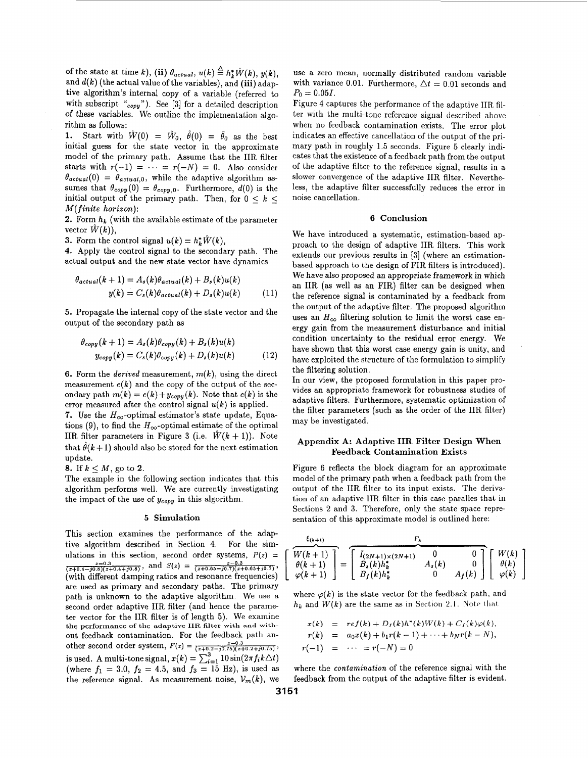of the state at time *k*), (ii)  $\theta_{actual}$ ,  $u(k) \stackrel{\Delta}{=} h^* \hat{W}(k)$ ,  $u(k)$ . and  $d(k)$  (the actual value of the variables), and  $(iii)$  adaptive algorithm's internal copy of a variable (referred to with subscript **"copy").** See **[3]** for a detailed description of these variables. We outline the implementation algorithm **as** follows:

1. Start with  $\hat{W}(0) = \hat{W}_0$ ,  $\hat{\theta}(0) = \hat{\theta}_0$  as the best initial guess for the state vector in the approximate model of the primary path. Assume that the IIR filter starts with  $r(-1) = \cdots = r(-N) = 0$ . Also consider  $\theta_{actual}(0) = \theta_{actual,0}$ , while the adaptive algorithm assumes that  $\theta_{copy}(0) = \theta_{copy,0}$ . Furthermore,  $d(0)$  is the initial output of the primary path. Then, for  $0 \lt k \lt 1$ *M(finite horizon):* 

**2.** Form  $h_k$  (with the available estimate of the parameter vector  $\hat{W}(k)$ ),

**3.** Form the control signal  $u(k) = h_k^* \hat{W}(k)$ ,

**4.** Apply the control signal to the secondary path. The actual output and the new state vector have dynamics

$$
\theta_{actual}(k+1) = A_s(k)\theta_{actual}(k) + B_s(k)u(k)
$$
  

$$
y(k) = C_s(k)\theta_{actual}(k) + D_s(k)u(k)
$$
 (11)

*5.* Propagate the internal copy of the state vector and the output of the secondary path as

$$
\theta_{copy}(k+1) = A_s(k)\theta_{copy}(k) + B_s(k)u(k)
$$
  

$$
y_{copy}(k) = C_s(k)\theta_{copy}(k) + D_s(k)u(k)
$$
 (12)

6. Form the *derived* measurement, *m(k),* using the direct measurement  $e(k)$  and the copy of the output of the secondary path  $m(k) = e(k) + y_{\text{copy}}(k)$ . Note that  $e(k)$  is the error measured after the control signal *u(k)* is applied.

**7.** Use the  $H_{\infty}$ -optimal estimator's state update, Equations (9), to find the  $H_{\infty}$ -optimal estimate of the optimal IIR filter parameters in Figure 3 (i.e.  $\hat{W}(k+1)$ ). Note that  $\hat{\theta}(k+1)$  should also be stored for the next estimation update.

8. If  $k \leq M$ , go to 2.

The example in the following section indicates that this algorithm performs well. We are currently investigating the impact of the use of  $y_{copy}$  in this algorithm.

#### *5* **Simulation**

This section examines the performance of the adaptive algorithm described in Section 4. For the simulations in this section, second order systems,  $P(z)$  = (with different damping ratios and resonance frequencies) are used as primary and secondary paths. The primary path is unknown to the adaptive algorithm. We use a second order adaptive IIR filter (and hence the parameter vector for the **IIIl** filter is of length *5).* We examine out feedback contamination. For the feedback path anis used. A multi-tone signal,  $x(k) = \sum_{i=1}^{3} 10 \sin(2\pi f_i k \Delta t)$ (where  $f_1 = 3.0$ ,  $f_2 = 4.5$ , and  $f_3 = 15$  Hz), is used as the reference signal. As measurement noise,  $V_m(k)$ , we  $\frac{z-0.3}{(z+0.4-j0.8)(z+0.4+j0.8)}$ , and  $S(z) = \frac{z-0.3}{(z+0.65-j0.7)(z+0.65+j0.7)}$ **the** performance **of the adaptive IIR filter with and with**other second order system,  $F(z) = \frac{z-0.3}{(z+0.2-j0.75)(z+0.2+j0.75)}$ ,  $r(z) = \frac{1}{(z+0.2-j0.75)(z+0.2+j0.75)}$ 

use a zero mean, normally distributed random variable with variance 0.01. Furthermore,  $\Delta t = 0.01$  seconds and  $P_0 = 0.05I$ .

Figure **4** captures the performance of the adaptive IIR filter with the multi-tone reference signal described above when no feedback contamination exists. The error plot indicates an effective cancellation of the output of the primary path in roughly 1.5 seconds. Figure 5 clearly indicates that the existence of a feedback path from the output of the adaptive filter to the reference signal, results in a slower convergence of the adaptive IIR filter. Nevertheless, the adaptive filter successfully reduces the error in noise cancellation.

## **6 Conclusion**

We have introduced a systematic, estimation-based approach to the design of adaptive IIR filters. This work extends our previous results in **131** (where an estimationbased approach to the design of FIR filters is introduced). We have also proposed an appropriate framework in which an IIR (as well as an FIR) filter can be designed when the reference signal is contaminated by a feedback from the output of the adaptive filter. The proposed algorithm uses an  $H_{\infty}$  filtering solution to limit the worst case energy gain from the measurement disturbance and initial condition uncertainty to the residual error energy. We have shown that this worst case energy gain is unity, and have exploited the structure of the formulation to simplify the filtering solution.

In our view, the proposed formulation in this paper provides an appropriate framework for robustness studies of adaptive filters. Furthermore, systematic optimization of the filter parameters (such **as** the order of the IIR filter) may be investigated.

## **Appendix A: Adaptive IIR Filter Design When Feedback Contamination Exists**

Figure 6 reflects the block diagram for an approximate model of the primary path when a feedback path from the output of the IIR filter to its input exists. The derivation of an adaptive IIR filter in this case paralles that in Sections 2 and **3.** Therefore, only the state space representation of this approximate model is outlined here:

$$
\frac{\binom{K(k+1)}{W(k+1)}}{\varphi(k+1)} = \left[\begin{array}{cc} I_{(2N+1)\times(2N+1)} & 0 & 0 \\ B_s(k)h_k^* & A_s(k) & 0 \\ B_f(k)h_k^* & 0 & A_f(k) \end{array}\right] \left[\begin{array}{c} W(k) \\ \theta(k) \\ \varphi(k) \end{array}\right]
$$

where  $\varphi(k)$  is the state vector for the feedback path, and  $h_k$  and  $W(k)$  are the same as in Section 2.1. Note that

$$
x(k) = ref(k) + D_f(k)h^*(k)W(k) + C_f(k)\varphi(k),
$$
  
\n
$$
r(k) = a_0x(k) + b_1r(k-1) + \cdots + b_Nr(k-N),
$$
  
\n
$$
r(-1) = \cdots = r(-N) = 0
$$

where the *contamination* of the reference signal with the feedback from the output of the adaptive filter is evident.